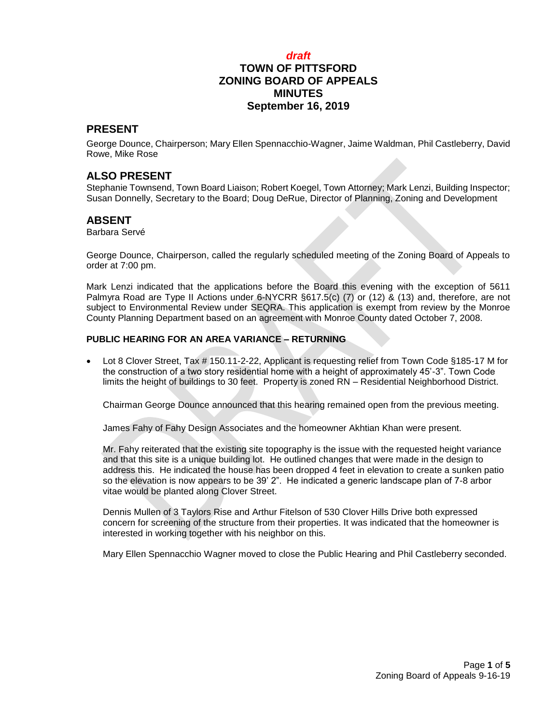## *draft* **TOWN OF PITTSFORD ZONING BOARD OF APPEALS MINUTES September 16, 2019**

#### **PRESENT**

George Dounce, Chairperson; Mary Ellen Spennacchio-Wagner, Jaime Waldman, Phil Castleberry, David Rowe, Mike Rose

## **ALSO PRESENT**

Stephanie Townsend, Town Board Liaison; Robert Koegel, Town Attorney; Mark Lenzi, Building Inspector; Susan Donnelly, Secretary to the Board; Doug DeRue, Director of Planning, Zoning and Development

## **ABSENT**

Barbara Servé

George Dounce, Chairperson, called the regularly scheduled meeting of the Zoning Board of Appeals to order at 7:00 pm.

Mark Lenzi indicated that the applications before the Board this evening with the exception of 5611 Palmyra Road are Type II Actions under 6-NYCRR §617.5(c) (7) or (12) & (13) and, therefore, are not subject to Environmental Review under SEQRA. This application is exempt from review by the Monroe County Planning Department based on an agreement with Monroe County dated October 7, 2008.

#### **PUBLIC HEARING FOR AN AREA VARIANCE – RETURNING**

 Lot 8 Clover Street, Tax # 150.11-2-22, Applicant is requesting relief from Town Code §185-17 M for the construction of a two story residential home with a height of approximately 45'-3". Town Code limits the height of buildings to 30 feet. Property is zoned RN – Residential Neighborhood District.

Chairman George Dounce announced that this hearing remained open from the previous meeting.

James Fahy of Fahy Design Associates and the homeowner Akhtian Khan were present.

Mr. Fahy reiterated that the existing site topography is the issue with the requested height variance and that this site is a unique building lot. He outlined changes that were made in the design to address this. He indicated the house has been dropped 4 feet in elevation to create a sunken patio so the elevation is now appears to be 39' 2". He indicated a generic landscape plan of 7-8 arbor vitae would be planted along Clover Street.

Dennis Mullen of 3 Taylors Rise and Arthur Fitelson of 530 Clover Hills Drive both expressed concern for screening of the structure from their properties. It was indicated that the homeowner is interested in working together with his neighbor on this.

Mary Ellen Spennacchio Wagner moved to close the Public Hearing and Phil Castleberry seconded.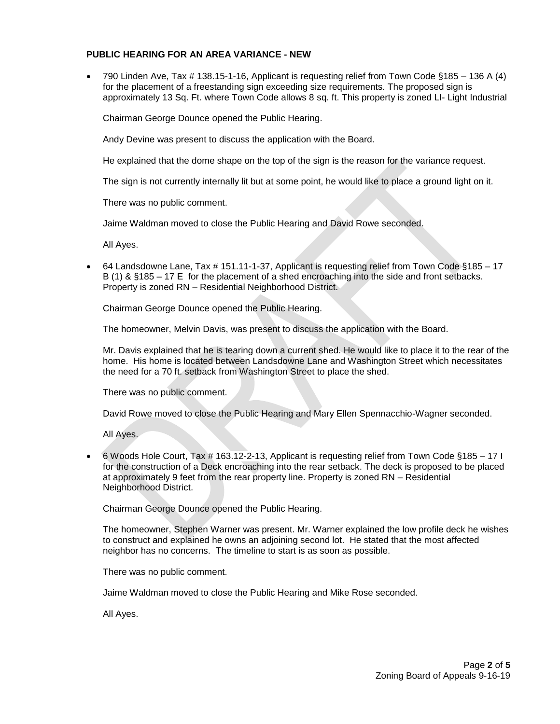#### **PUBLIC HEARING FOR AN AREA VARIANCE - NEW**

 790 Linden Ave, Tax # 138.15-1-16, Applicant is requesting relief from Town Code §185 – 136 A (4) for the placement of a freestanding sign exceeding size requirements. The proposed sign is approximately 13 Sq. Ft. where Town Code allows 8 sq. ft. This property is zoned LI- Light Industrial

Chairman George Dounce opened the Public Hearing.

Andy Devine was present to discuss the application with the Board.

He explained that the dome shape on the top of the sign is the reason for the variance request.

The sign is not currently internally lit but at some point, he would like to place a ground light on it.

There was no public comment.

Jaime Waldman moved to close the Public Hearing and David Rowe seconded.

All Ayes.

 64 Landsdowne Lane, Tax # 151.11-1-37, Applicant is requesting relief from Town Code §185 – 17 B (1) & §185 – 17 E for the placement of a shed encroaching into the side and front setbacks. Property is zoned RN – Residential Neighborhood District.

Chairman George Dounce opened the Public Hearing.

The homeowner, Melvin Davis, was present to discuss the application with the Board.

Mr. Davis explained that he is tearing down a current shed. He would like to place it to the rear of the home. His home is located between Landsdowne Lane and Washington Street which necessitates the need for a 70 ft. setback from Washington Street to place the shed.

There was no public comment.

David Rowe moved to close the Public Hearing and Mary Ellen Spennacchio-Wagner seconded.

All Ayes.

 6 Woods Hole Court, Tax # 163.12-2-13, Applicant is requesting relief from Town Code §185 – 17 I for the construction of a Deck encroaching into the rear setback. The deck is proposed to be placed at approximately 9 feet from the rear property line. Property is zoned RN – Residential Neighborhood District.

Chairman George Dounce opened the Public Hearing.

The homeowner, Stephen Warner was present. Mr. Warner explained the low profile deck he wishes to construct and explained he owns an adjoining second lot. He stated that the most affected neighbor has no concerns. The timeline to start is as soon as possible.

There was no public comment.

Jaime Waldman moved to close the Public Hearing and Mike Rose seconded.

All Ayes.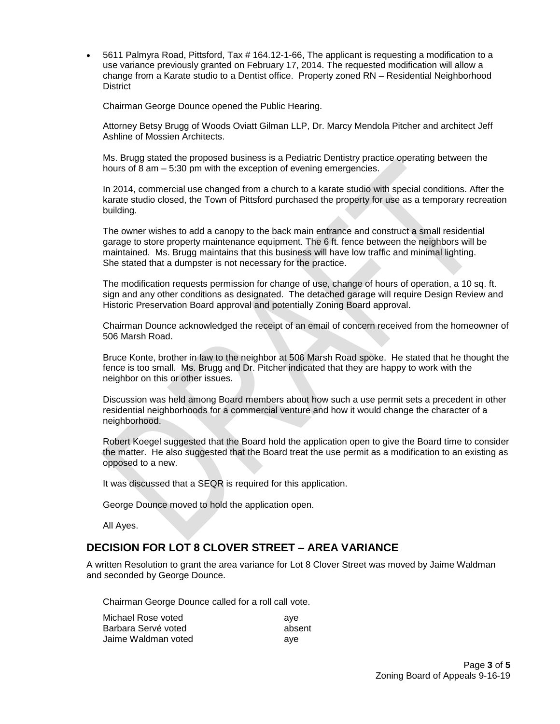5611 Palmyra Road, Pittsford, Tax # 164.12-1-66, The applicant is requesting a modification to a use variance previously granted on February 17, 2014. The requested modification will allow a change from a Karate studio to a Dentist office. Property zoned RN – Residential Neighborhood **District** 

Chairman George Dounce opened the Public Hearing.

Attorney Betsy Brugg of Woods Oviatt Gilman LLP, Dr. Marcy Mendola Pitcher and architect Jeff Ashline of Mossien Architects.

Ms. Brugg stated the proposed business is a Pediatric Dentistry practice operating between the hours of 8 am – 5:30 pm with the exception of evening emergencies.

In 2014, commercial use changed from a church to a karate studio with special conditions. After the karate studio closed, the Town of Pittsford purchased the property for use as a temporary recreation building.

The owner wishes to add a canopy to the back main entrance and construct a small residential garage to store property maintenance equipment. The 6 ft. fence between the neighbors will be maintained. Ms. Brugg maintains that this business will have low traffic and minimal lighting. She stated that a dumpster is not necessary for the practice.

The modification requests permission for change of use, change of hours of operation, a 10 sq. ft. sign and any other conditions as designated. The detached garage will require Design Review and Historic Preservation Board approval and potentially Zoning Board approval.

Chairman Dounce acknowledged the receipt of an email of concern received from the homeowner of 506 Marsh Road.

Bruce Konte, brother in law to the neighbor at 506 Marsh Road spoke. He stated that he thought the fence is too small. Ms. Brugg and Dr. Pitcher indicated that they are happy to work with the neighbor on this or other issues.

Discussion was held among Board members about how such a use permit sets a precedent in other residential neighborhoods for a commercial venture and how it would change the character of a neighborhood.

Robert Koegel suggested that the Board hold the application open to give the Board time to consider the matter. He also suggested that the Board treat the use permit as a modification to an existing as opposed to a new.

It was discussed that a SEQR is required for this application.

George Dounce moved to hold the application open.

All Ayes.

## **DECISION FOR LOT 8 CLOVER STREET – AREA VARIANCE**

A written Resolution to grant the area variance for Lot 8 Clover Street was moved by Jaime Waldman and seconded by George Dounce.

Chairman George Dounce called for a roll call vote.

| Michael Rose voted  | ave    |
|---------------------|--------|
| Barbara Servé voted | absent |
| Jaime Waldman voted | ave    |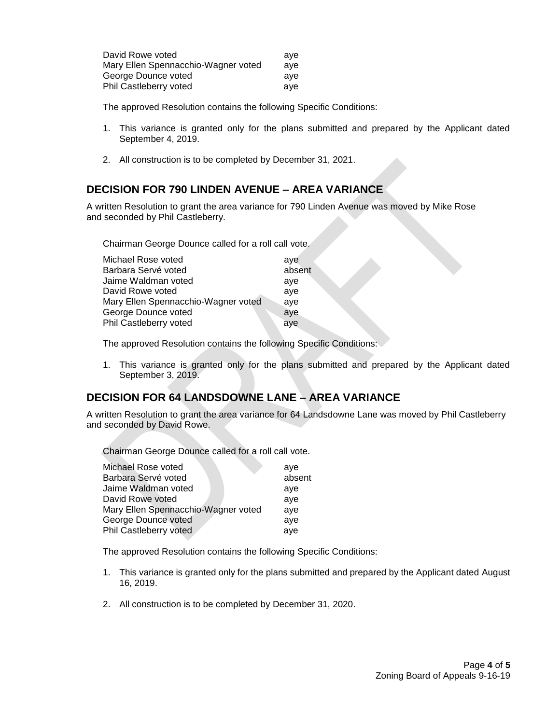| David Rowe voted                    | ave |
|-------------------------------------|-----|
| Mary Ellen Spennacchio-Wagner voted | ave |
| George Dounce voted                 | ave |
| Phil Castleberry voted              | ave |

The approved Resolution contains the following Specific Conditions:

- 1. This variance is granted only for the plans submitted and prepared by the Applicant dated September 4, 2019.
- 2. All construction is to be completed by December 31, 2021.

## **DECISION FOR 790 LINDEN AVENUE – AREA VARIANCE**

A written Resolution to grant the area variance for 790 Linden Avenue was moved by Mike Rose and seconded by Phil Castleberry.

Chairman George Dounce called for a roll call vote.

| Michael Rose voted                  | ave    |
|-------------------------------------|--------|
| Barbara Servé voted                 | absent |
| Jaime Waldman voted                 | aye    |
| David Rowe voted                    | aye    |
| Mary Ellen Spennacchio-Wagner voted | aye    |
| George Dounce voted                 | aye    |
| Phil Castleberry voted              | aye    |
|                                     |        |

The approved Resolution contains the following Specific Conditions:

1. This variance is granted only for the plans submitted and prepared by the Applicant dated September 3, 2019.

## **DECISION FOR 64 LANDSDOWNE LANE – AREA VARIANCE**

A written Resolution to grant the area variance for 64 Landsdowne Lane was moved by Phil Castleberry and seconded by David Rowe.

Chairman George Dounce called for a roll call vote.

| Michael Rose voted                  | ave    |
|-------------------------------------|--------|
| Barbara Servé voted                 | absent |
| Jaime Waldman voted                 | aye    |
| David Rowe voted                    | aye    |
| Mary Ellen Spennacchio-Wagner voted | ave    |
| George Dounce voted                 | ave    |
| Phil Castleberry voted              | aye    |

The approved Resolution contains the following Specific Conditions:

- 1. This variance is granted only for the plans submitted and prepared by the Applicant dated August 16, 2019.
- 2. All construction is to be completed by December 31, 2020.